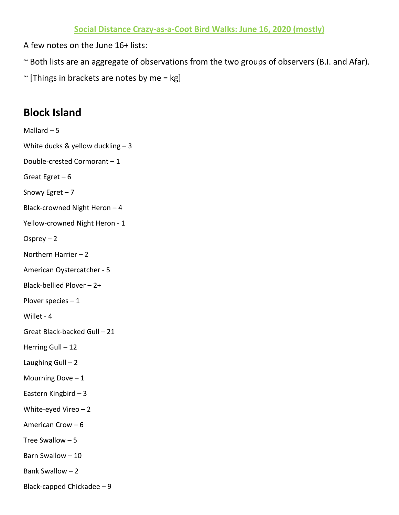A few notes on the June 16+ lists:

- ~ Both lists are an aggregate of observations from the two groups of observers (B.I. and Afar).
- $\sim$  [Things in brackets are notes by me = kg]

## **Block Island**

Mallard – 5 White ducks & yellow duckling  $-3$ Double-crested Cormorant – 1 Great Egret – 6 Snowy Egret – 7 Black-crowned Night Heron – 4 Yellow-crowned Night Heron - 1 Osprey – 2 Northern Harrier – 2 American Oystercatcher - 5 Black-bellied Plover – 2+ Plover species – 1 Willet - 4 Great Black-backed Gull – 21 Herring Gull - 12 Laughing Gull  $-2$ Mourning Dove  $-1$ Eastern Kingbird – 3 White-eyed Vireo – 2 American Crow – 6 Tree Swallow – 5 Barn Swallow – 10 Bank Swallow – 2 Black-capped Chickadee – 9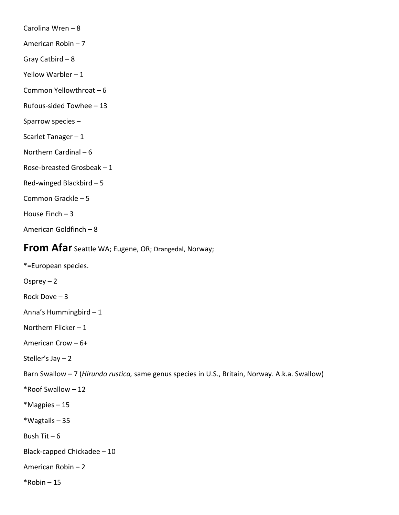Carolina Wren – 8

American Robin – 7

Gray Catbird – 8

Yellow Warbler – 1

Common Yellowthroat – 6

- Rufous-sided Towhee 13
- Sparrow species –
- Scarlet Tanager 1
- Northern Cardinal 6
- Rose-breasted Grosbeak 1
- Red-winged Blackbird 5
- Common Grackle 5
- House Finch 3
- American Goldfinch 8

## **From Afar** Seattle WA; Eugene, OR; Drangedal, Norway;

\*=European species. Osprey – 2 Rock Dove – 3 Anna's Hummingbird – 1 Northern Flicker – 1 American Crow – 6+ Steller's Jay – 2 Barn Swallow – 7 (*Hirundo rustica,* same genus species in U.S., Britain, Norway. A.k.a. Swallow) \*Roof Swallow – 12 \*Magpies – 15 \*Wagtails – 35 Bush Tit  $-6$ Black-capped Chickadee – 10 American Robin – 2  $*$ Robin – 15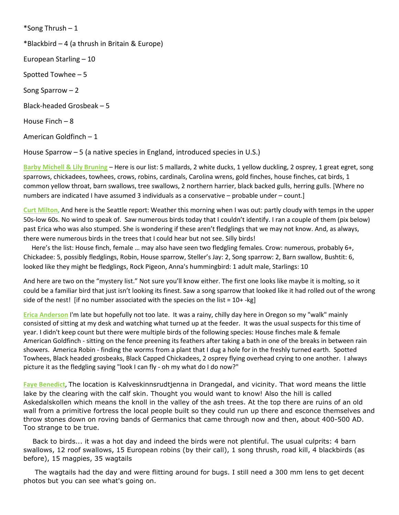\*Song Thrush – 1 \*Blackbird – 4 (a thrush in Britain & Europe) European Starling – 10 Spotted Towhee – 5 Song Sparrow – 2 Black-headed Grosbeak – 5 House Finch – 8 American Goldfinch – 1

House Sparrow – 5 (a native species in England, introduced species in U.S.)

**Barby Michell & Lily Bruning** – Here is our list: 5 mallards, 2 white ducks, 1 yellow duckling, 2 osprey, 1 great egret, song sparrows, chickadees, towhees, crows, robins, cardinals, Carolina wrens, gold finches, house finches, cat birds, 1 common yellow throat, barn swallows, tree swallows, 2 northern harrier, black backed gulls, herring gulls. [Where no numbers are indicated I have assumed 3 individuals as a conservative – probable under – count.]

**Curt Milton**, And here is the Seattle report: Weather this morning when I was out: partly cloudy with temps in the upper 50s-low 60s. No wind to speak of. Saw numerous birds today that I couldn't identify. I ran a couple of them (pix below) past Erica who was also stumped. She is wondering if these aren't fledglings that we may not know. And, as always, there were numerous birds in the trees that I could hear but not see. Silly birds!

 Here's the list: House finch, female … may also have seen two fledgling females. Crow: numerous, probably 6+, Chickadee: 5, possibly fledglings, Robin, House sparrow, Steller's Jay: 2, Song sparrow: 2, Barn swallow, Bushtit: 6, looked like they might be fledglings, Rock Pigeon, Anna's hummingbird: 1 adult male, Starlings: 10

And here are two on the "mystery list." Not sure you'll know either. The first one looks like maybe it is molting, so it could be a familiar bird that just isn't looking its finest. Saw a song sparrow that looked like it had rolled out of the wrong side of the nest! [if no number associated with the species on the list =  $10+$ -kg]

**Erica Anderson** I'm late but hopefully not too late. It was a rainy, chilly day here in Oregon so my "walk" mainly consisted of sitting at my desk and watching what turned up at the feeder. It was the usual suspects for this time of year. I didn't keep count but there were multiple birds of the following species: House finches male & female American Goldfinch - sitting on the fence preening its feathers after taking a bath in one of the breaks in between rain showers. America Robin - finding the worms from a plant that I dug a hole for in the freshly turned earth. Spotted Towhees, Black headed grosbeaks, Black Capped Chickadees, 2 osprey flying overhead crying to one another. I always picture it as the fledgling saying "look I can fly - oh my what do I do now?"

**Faye Benedict**, The location is Kalveskinnsrudtjenna in Drangedal, and vicinity. That word means the little lake by the clearing with the calf skin. Thought you would want to know! Also the hill is called Askedalskollen which means the knoll in the valley of the ash trees. At the top there are ruins of an old wall from a primitive fortress the local people built so they could run up there and esconce themselves and throw stones down on roving bands of Germanics that came through now and then, about 400-500 AD. Too strange to be true.

 Back to birds... it was a hot day and indeed the birds were not plentiful. The usual culprits: 4 barn swallows, 12 roof swallows, 15 European robins (by their call), 1 song thrush, road kill, 4 blackbirds (as before), 15 magpies, 35 wagtails

 The wagtails had the day and were flitting around for bugs. I still need a 300 mm lens to get decent photos but you can see what's going on.